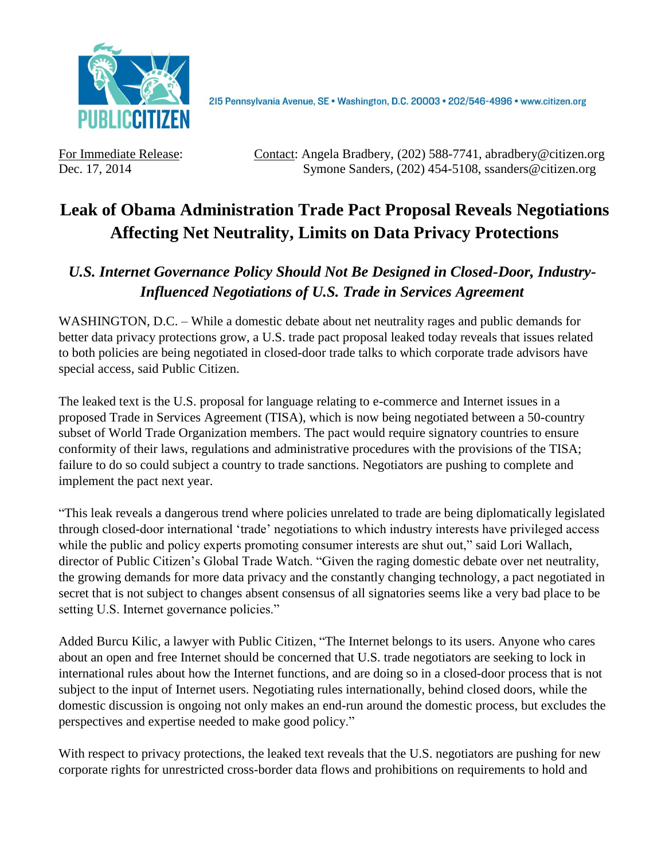

2I5 Pennsylvania Avenue, SE · Washington, D.C. 20003 · 202/546-4996 · www.citizen.org

For Immediate Release: Contact: Angela Bradbery, (202) 588-7741, abradbery@citizen.org Dec. 17, 2014 Symone Sanders, (202) 454-5108, ssanders@citizen.org

## **Leak of Obama Administration Trade Pact Proposal Reveals Negotiations Affecting Net Neutrality, Limits on Data Privacy Protections**

## *U.S. Internet Governance Policy Should Not Be Designed in Closed-Door, Industry-Influenced Negotiations of U.S. Trade in Services Agreement*

WASHINGTON, D.C. – While a domestic debate about net neutrality rages and public demands for better data privacy protections grow, a U.S. trade pact proposal leaked today reveals that issues related to both policies are being negotiated in closed-door trade talks to which corporate trade advisors have special access, said Public Citizen.

The leaked text is the U.S. proposal for language relating to e-commerce and Internet issues in a proposed Trade in Services Agreement (TISA), which is now being negotiated between a 50-country subset of World Trade Organization members. The pact would require signatory countries to ensure conformity of their laws, regulations and administrative procedures with the provisions of the TISA; failure to do so could subject a country to trade sanctions. Negotiators are pushing to complete and implement the pact next year.

"This leak reveals a dangerous trend where policies unrelated to trade are being diplomatically legislated through closed-door international 'trade' negotiations to which industry interests have privileged access while the public and policy experts promoting consumer interests are shut out," said Lori Wallach, director of Public Citizen's Global Trade Watch. "Given the raging domestic debate over net neutrality, the growing demands for more data privacy and the constantly changing technology, a pact negotiated in secret that is not subject to changes absent consensus of all signatories seems like a very bad place to be setting U.S. Internet governance policies."

Added Burcu Kilic, a lawyer with Public Citizen, "The Internet belongs to its users. Anyone who cares about an open and free Internet should be concerned that U.S. trade negotiators are seeking to lock in international rules about how the Internet functions, and are doing so in a closed-door process that is not subject to the input of Internet users. Negotiating rules internationally, behind closed doors, while the domestic discussion is ongoing not only makes an end-run around the domestic process, but excludes the perspectives and expertise needed to make good policy."

With respect to privacy protections, the leaked text reveals that the U.S. negotiators are pushing for new corporate rights for unrestricted cross-border data flows and prohibitions on requirements to hold and